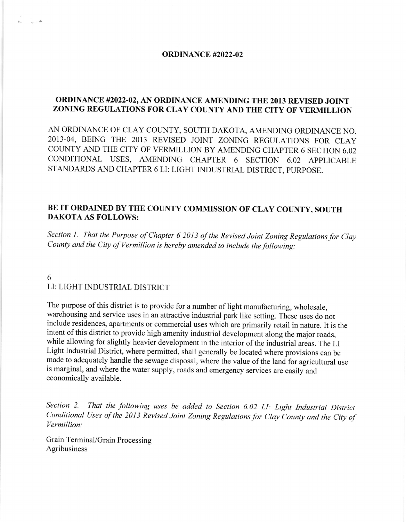## ORDINANCE #2022-02

## ORDINANCE #2022-02, AN ORDINANCE AMENDING THE 2013 REVISED JOINT ZONING REGULATIONS FOR CLAY COUNTY AND THE CITY OF VERMILLION

AN ORDINANCE OF CLAY COUNTY, SOUTH DAKOTA, AMENDING ORDINANCE NO. 2OI3-04, BEING THE 2OI3 REVISED JOINT ZONING REGULATIONS FOR CLAY COUNTY AND THE CITY OF VERMILLION BY AMENDING CHAPTER 6 SECTION 6.02 CONDITIONAL USES, AMENDING CHAPTER 6 SECTION 6.02 APPLICABLE STANDARDS AND CHAPTER 6 LI: LIGHT INDUSTRIAL DISTRICT. PURPOSE.

## BE IT ORDAINED BY THE COUNTY COMMISSION OF CLAY COUNTY, SOUTH DAKOTA AS FOLLOWS:

Section 1. That the Purpose of Chapter 6 2013 of the Revised Joint Zoning Regulations for Clay County and the City of Vermillion is hereby amended to include the following:

## 6 LI: LIGHT INDUSTRIAL DISTRICT

The purpose of this district is to provide for a number of light manufacturing, wholesale, warehousing and service uses in an attractive industrial park like setting. These uses do not include residences, apartments or commercial uses which are primarily retail in nature. It is the intent of this district to provide high amenity industrial development along the major roads, while allowing for slightly heavier development in the interior of the industrial areas. The LI Light Industrial District, where permitted, shall generally be located where provisions can be made to adequately handle the sewage disposal, where the value of the land for agricultural use is marginal, and where the water supply, roads and emergency services are easily and economically available.

Section 2. That the following uses be added to Section 6.02 LI: Light Industrial District Conditional Uses of the 2013 Revised Joint Zoning Regulations for Clay County and the City of Vermillion:

Grain Terminal/Grain Processing Agribusiness